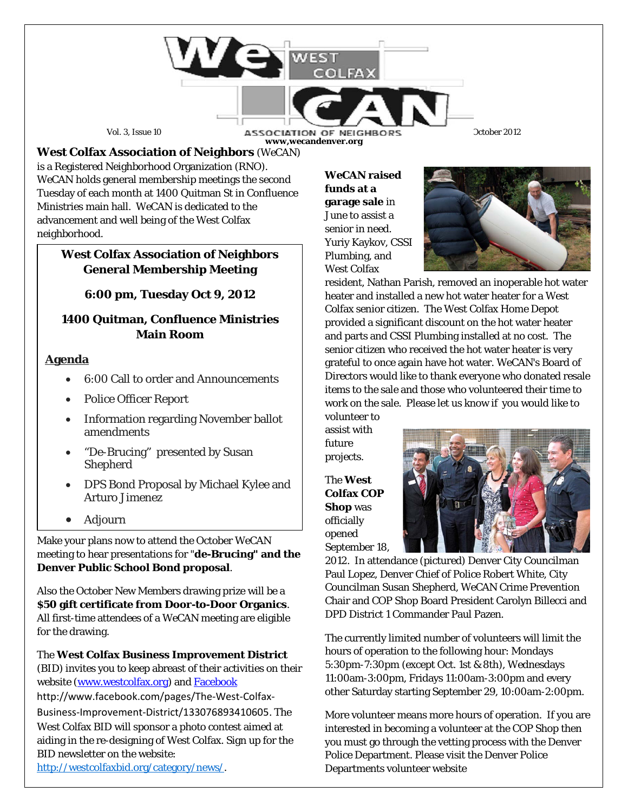

Vol. 3, Issue 10 **ASSOCIATION OF NEIGHBORS** Ctober 2012 **www,wecandenver.org**

**West Colfax Association of Neighbors** (*WeCAN*) is a Registered Neighborhood Organization (RNO). *WeCAN* holds general membership meetings the second Tuesday of each month at 1400 Quitman St in Confluence Ministries main hall. *WeCAN* is dedicated to the advancement and well being of the West Colfax neighborhood.

# **West Colfax Association of Neighbors General Membership Meeting**

## **6:00 pm, Tuesday Oct 9, 2012**

## **1400 Quitman, Confluence Ministries Main Room**

### **Agenda**

- 6:00 Call to order and Announcements
- Police Officer Report
- Information regarding November ballot amendments
- "De-Brucing" presented by Susan Shepherd
- DPS Bond Proposal by Michael Kylee and Arturo Jimenez
- Adjourn

Make your plans now to attend the October *WeCAN* meeting to hear presentations for "**de-Brucing" and the Denver Public School Bond proposal**.

Also the October New Members drawing prize will be a **\$50 gift certificate from Door-to-Door Organics**. All first-time attendees of a *WeCAN* meeting are eligible for the drawing.

### The **West Colfax Business Improvement District**

(BID) invites you to keep abreast of their activities on their website (www.westcolfax.org) and [Facebook](http://www.facebook.com/pages/The-West-Colfax-Business-Improvement-District/133076893410605)

http://www.facebook.com/pages/The-West-Colfax-Business-Improvement-District/133076893410605. The West Colfax BID will sponsor a photo contest aimed at aiding in the re-designing of West Colfax. Sign up for the BID newsletter on the website:

[http://westcolfaxbid.org/category/news/.](http://westcolfaxbid.org/category/news/)

*WeCAN* **raised funds at a garage sale** in June to assist a senior in need. Yuriy Kaykov, CSSI Plumbing, and West Colfax



resident, Nathan Parish, removed an inoperable hot water heater and installed a new hot water heater for a West Colfax senior citizen. The West Colfax Home Depot provided a significant discount on the hot water heater and parts and CSSI Plumbing installed at no cost. The senior citizen who received the hot water heater is very grateful to once again have hot water. *WeCAN*'s Board of Directors would like to thank everyone who donated resale items to the sale and those who volunteered their time to work on the sale. Please let us know if you would like to volunteer to

assist with future projects.

The **West Colfax COP Shop** was officially opened September 18,



2012. In attendance (pictured) Denver City Councilman Paul Lopez, Denver Chief of Police Robert White, City Councilman Susan Shepherd, *WeCAN* Crime Prevention Chair and COP Shop Board President Carolyn Billecci and DPD District 1 Commander Paul Pazen.

The currently limited number of volunteers will limit the hours of operation to the following hour: Mondays 5:30pm-7:30pm (except Oct. 1st & 8th), Wednesdays 11:00am-3:00pm, Fridays 11:00am-3:00pm and every other Saturday starting September 29, 10:00am-2:00pm.

More volunteer means more hours of operation. If you are interested in becoming a volunteer at the COP Shop then you must go through the vetting process with the Denver Police Department. Please visit the Denver Police Departments volunteer website